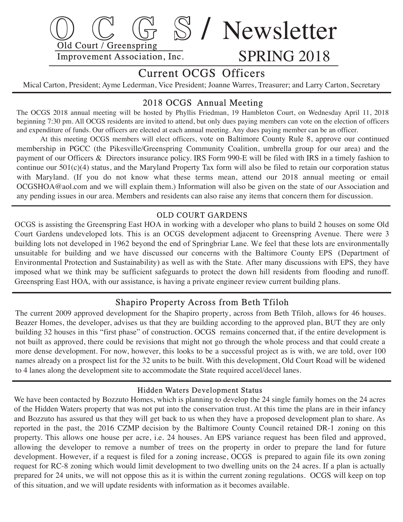

# Current OCGS Officers

Mical Carton, President; Ayme Lederman, Vice President; Joanne Warres, Treasurer; and Larry Carton, Secretary

## 2018 OCGS Annual Meeting

The OCGS 2018 annual meeting will be hosted by Phyllis Friedman, 19 Hambleton Court, on Wednesday April 11, 2018 beginning 7:30 pm. All OCGS residents are invited to attend, but only dues paying members can vote on the election of officers and expenditure of funds. Our officers are elected at each annual meeting. Any dues paying member can be an officer.

 At this meeting OCGS members will elect officers, vote on Baltimore County Rule 8, approve our continued membership in PGCC (the Pikesville/Greenspring Community Coalition, umbrella group for our area) and the payment of our Officers & Directors insurance policy. IRS Form 990-E will be filed with IRS in a timely fashion to continue our  $501(c)(4)$  status, and the Maryland Property Tax form will also be filed to retain our corporation status with Maryland. (If you do not know what these terms mean, attend our 2018 annual meeting or email OCGSHOA@aol.com and we will explain them.) Information will also be given on the state of our Association and any pending issues in our area. Members and residents can also raise any items that concern them for discussion.

### OLD COURT GARDENS

OCGS is assisting the Greenspring East HOA in working with a developer who plans to build 2 houses on some Old Court Gardens undeveloped lots. This is an OCGS development adjacent to Greenspring Avenue. There were 3 building lots not developed in 1962 beyond the end of Springbriar Lane. We feel that these lots are environmentally unsuitable for building and we have discussed our concerns with the Baltimore County EPS (Department of Environmental Protection and Sustainability) as well as with the State. After many discussions with EPS, they have imposed what we think may be sufficient safeguards to protect the down hill residents from flooding and runoff. Greenspring East HOA, with our assistance, is having a private engineer review current building plans.

## Shapiro Property Across from Beth Tfiloh

 The current 2009 approved development for the Shapiro property, across from Beth Tfiloh, allows for 46 houses. Beazer Homes, the developer, advises us that they are building according to the approved plan, BUT they are only building 32 houses in this "first phase" of construction. OCGS remains concerned that, if the entire development is not built as approved, there could be revisions that might not go through the whole process and that could create a more dense development. For now, however, this looks to be a successful project as is with, we are told, over 100 names already on a prospect list for the 32 units to be built. With this development, Old Court Road will be widened to 4 lanes along the development site to accommodate the State required accel/decel lanes.

#### Hidden Waters Development Status

We have been contacted by Bozzuto Homes, which is planning to develop the 24 single family homes on the 24 acres of the Hidden Waters property that was not put into the conservation trust. At this time the plans are in their infancy and Bozzuto has assured us that they will get back to us when they have a proposed development plan to share. As reported in the past, the 2016 CZMP decision by the Baltimore County Council retained DR-1 zoning on this property. This allows one house per acre, i.e. 24 houses. An EPS variance request has been filed and approved, allowing the developer to remove a number of trees on the property in order to prepare the land for future development. However, if a request is filed for a zoning increase, OCGS is prepared to again file its own zoning request for RC-8 zoning which would limit development to two dwelling units on the 24 acres. If a plan is actually prepared for 24 units, we will not oppose this as it is within the current zoning regulations. OCGS will keep on top of this situation, and we will update residents with information as it becomes available.